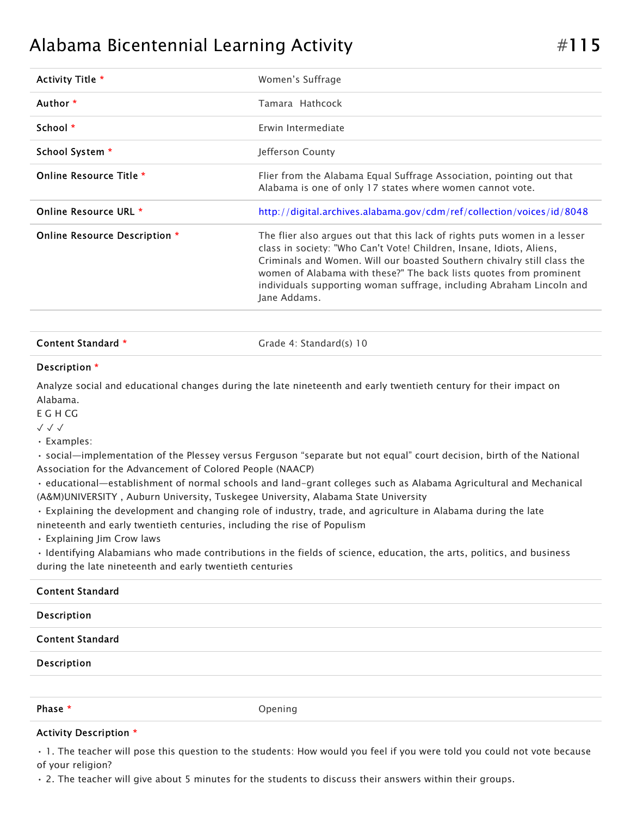## Alabama Bicentennial Learning Activity  $\#115$

| Activity Title *              | Women's Suffrage                                                                                                                                                                                                                                                                                                                                                                           |
|-------------------------------|--------------------------------------------------------------------------------------------------------------------------------------------------------------------------------------------------------------------------------------------------------------------------------------------------------------------------------------------------------------------------------------------|
| Author *                      | Tamara Hathcock                                                                                                                                                                                                                                                                                                                                                                            |
| School *                      | Erwin Intermediate                                                                                                                                                                                                                                                                                                                                                                         |
| School System *               | Jefferson County                                                                                                                                                                                                                                                                                                                                                                           |
| Online Resource Title *       | Flier from the Alabama Equal Suffrage Association, pointing out that<br>Alabama is one of only 17 states where women cannot vote.                                                                                                                                                                                                                                                          |
| Online Resource URL *         | http://digital.archives.alabama.gov/cdm/ref/collection/voices/id/8048                                                                                                                                                                                                                                                                                                                      |
| Online Resource Description * | The flier also argues out that this lack of rights puts women in a lesser<br>class in society: "Who Can't Vote! Children, Insane, Idiots, Aliens,<br>Criminals and Women. Will our boasted Southern chivalry still class the<br>women of Alabama with these?" The back lists quotes from prominent<br>individuals supporting woman suffrage, including Abraham Lincoln and<br>Jane Addams. |

## Content Standard \* Grade 4: Standard(s) 10

## Description \*

Analyze social and educational changes during the late nineteenth and early twentieth century for their impact on Alabama.

E G H CG

✓ ✓ ✓

• Examples:

• social—implementation of the Plessey versus Ferguson "separate but not equal" court decision, birth of the National Association for the Advancement of Colored People (NAACP)

• educational—establishment of normal schools and land-grant colleges such as Alabama Agricultural and Mechanical (A&M)UNIVERSITY , Auburn University, Tuskegee University, Alabama State University

• Explaining the development and changing role of industry, trade, and agriculture in Alabama during the late

nineteenth and early twentieth centuries, including the rise of Populism

• Explaining Jim Crow laws

• Identifying Alabamians who made contributions in the fields of science, education, the arts, politics, and business during the late nineteenth and early twentieth centuries

| <b>Content Standard</b> |         |
|-------------------------|---------|
| Description             |         |
| <b>Content Standard</b> |         |
| Description             |         |
|                         |         |
| Phase *                 | Opening |

## Activity Description \*

• 1. The teacher will pose this question to the students: How would you feel if you were told you could not vote because of your religion?

• 2. The teacher will give about 5 minutes for the students to discuss their answers within their groups.